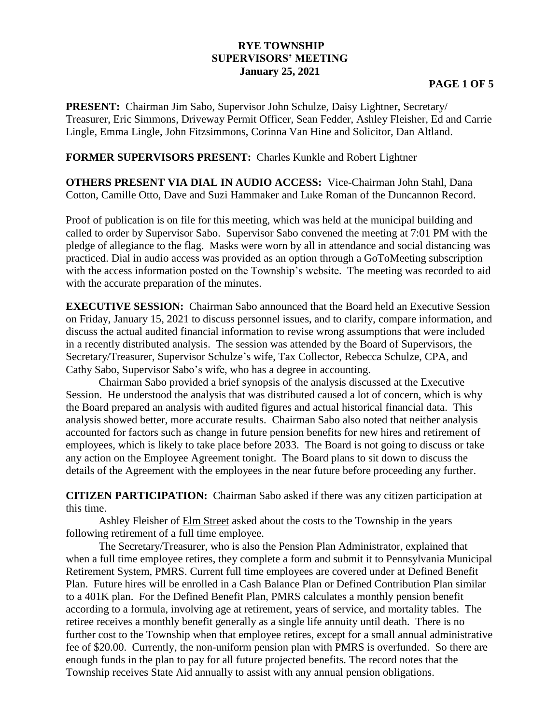## **RYE TOWNSHIP SUPERVISORS' MEETING January 25, 2021**

## **PAGE 1 OF 5**

**PRESENT:** Chairman Jim Sabo, Supervisor John Schulze, Daisy Lightner, Secretary/ Treasurer, Eric Simmons, Driveway Permit Officer, Sean Fedder, Ashley Fleisher, Ed and Carrie Lingle, Emma Lingle, John Fitzsimmons, Corinna Van Hine and Solicitor, Dan Altland.

## **FORMER SUPERVISORS PRESENT:** Charles Kunkle and Robert Lightner

**OTHERS PRESENT VIA DIAL IN AUDIO ACCESS:** Vice-Chairman John Stahl, Dana Cotton, Camille Otto, Dave and Suzi Hammaker and Luke Roman of the Duncannon Record.

Proof of publication is on file for this meeting, which was held at the municipal building and called to order by Supervisor Sabo. Supervisor Sabo convened the meeting at 7:01 PM with the pledge of allegiance to the flag. Masks were worn by all in attendance and social distancing was practiced. Dial in audio access was provided as an option through a GoToMeeting subscription with the access information posted on the Township's website. The meeting was recorded to aid with the accurate preparation of the minutes.

**EXECUTIVE SESSION:** Chairman Sabo announced that the Board held an Executive Session on Friday, January 15, 2021 to discuss personnel issues, and to clarify, compare information, and discuss the actual audited financial information to revise wrong assumptions that were included in a recently distributed analysis. The session was attended by the Board of Supervisors, the Secretary/Treasurer, Supervisor Schulze's wife, Tax Collector, Rebecca Schulze, CPA, and Cathy Sabo, Supervisor Sabo's wife, who has a degree in accounting.

Chairman Sabo provided a brief synopsis of the analysis discussed at the Executive Session. He understood the analysis that was distributed caused a lot of concern, which is why the Board prepared an analysis with audited figures and actual historical financial data. This analysis showed better, more accurate results. Chairman Sabo also noted that neither analysis accounted for factors such as change in future pension benefits for new hires and retirement of employees, which is likely to take place before 2033. The Board is not going to discuss or take any action on the Employee Agreement tonight. The Board plans to sit down to discuss the details of the Agreement with the employees in the near future before proceeding any further.

**CITIZEN PARTICIPATION:** Chairman Sabo asked if there was any citizen participation at this time.

Ashley Fleisher of Elm Street asked about the costs to the Township in the years following retirement of a full time employee.

The Secretary/Treasurer, who is also the Pension Plan Administrator, explained that when a full time employee retires, they complete a form and submit it to Pennsylvania Municipal Retirement System, PMRS. Current full time employees are covered under at Defined Benefit Plan. Future hires will be enrolled in a Cash Balance Plan or Defined Contribution Plan similar to a 401K plan. For the Defined Benefit Plan, PMRS calculates a monthly pension benefit according to a formula, involving age at retirement, years of service, and mortality tables. The retiree receives a monthly benefit generally as a single life annuity until death. There is no further cost to the Township when that employee retires, except for a small annual administrative fee of \$20.00. Currently, the non-uniform pension plan with PMRS is overfunded. So there are enough funds in the plan to pay for all future projected benefits. The record notes that the Township receives State Aid annually to assist with any annual pension obligations.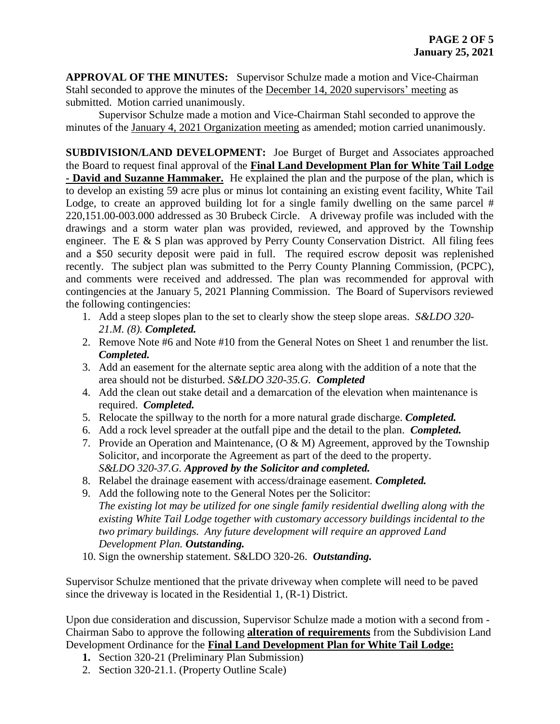**APPROVAL OF THE MINUTES:** Supervisor Schulze made a motion and Vice-Chairman Stahl seconded to approve the minutes of the December 14, 2020 supervisors' meeting as submitted. Motion carried unanimously.

Supervisor Schulze made a motion and Vice-Chairman Stahl seconded to approve the minutes of the January 4, 2021 Organization meeting as amended; motion carried unanimously.

**SUBDIVISION/LAND DEVELOPMENT:** Joe Burget of Burget and Associates approached the Board to request final approval of the **Final Land Development Plan for White Tail Lodge - David and Suzanne Hammaker.** He explained the plan and the purpose of the plan, which is to develop an existing 59 acre plus or minus lot containing an existing event facility, White Tail Lodge, to create an approved building lot for a single family dwelling on the same parcel # 220,151.00-003.000 addressed as 30 Brubeck Circle. A driveway profile was included with the drawings and a storm water plan was provided, reviewed, and approved by the Township engineer. The E & S plan was approved by Perry County Conservation District. All filing fees and a \$50 security deposit were paid in full. The required escrow deposit was replenished recently. The subject plan was submitted to the Perry County Planning Commission, (PCPC), and comments were received and addressed. The plan was recommended for approval with contingencies at the January 5, 2021 Planning Commission. The Board of Supervisors reviewed the following contingencies:

- 1. Add a steep slopes plan to the set to clearly show the steep slope areas. *S&LDO 320- 21.M. (8). Completed.*
- 2. Remove Note #6 and Note #10 from the General Notes on Sheet 1 and renumber the list. *Completed.*
- 3. Add an easement for the alternate septic area along with the addition of a note that the area should not be disturbed. *S&LDO 320-35.G. Completed*
- 4. Add the clean out stake detail and a demarcation of the elevation when maintenance is required. *Completed.*
- 5. Relocate the spillway to the north for a more natural grade discharge. *Completed.*
- 6. Add a rock level spreader at the outfall pipe and the detail to the plan. *Completed.*
- 7. Provide an Operation and Maintenance,  $(O & M)$  Agreement, approved by the Township Solicitor, and incorporate the Agreement as part of the deed to the property. *S&LDO 320-37.G. Approved by the Solicitor and completed.*
- 8. Relabel the drainage easement with access/drainage easement. *Completed.*
- 9. Add the following note to the General Notes per the Solicitor: *The existing lot may be utilized for one single family residential dwelling along with the existing White Tail Lodge together with customary accessory buildings incidental to the two primary buildings. Any future development will require an approved Land Development Plan. Outstanding.*
- 10. Sign the ownership statement. S&LDO 320-26. *Outstanding.*

Supervisor Schulze mentioned that the private driveway when complete will need to be paved since the driveway is located in the Residential 1, (R-1) District.

Upon due consideration and discussion, Supervisor Schulze made a motion with a second from - Chairman Sabo to approve the following **alteration of requirements** from the Subdivision Land Development Ordinance for the **Final Land Development Plan for White Tail Lodge:**

- **1.** Section 320-21 (Preliminary Plan Submission)
- 2. Section 320-21.1. (Property Outline Scale)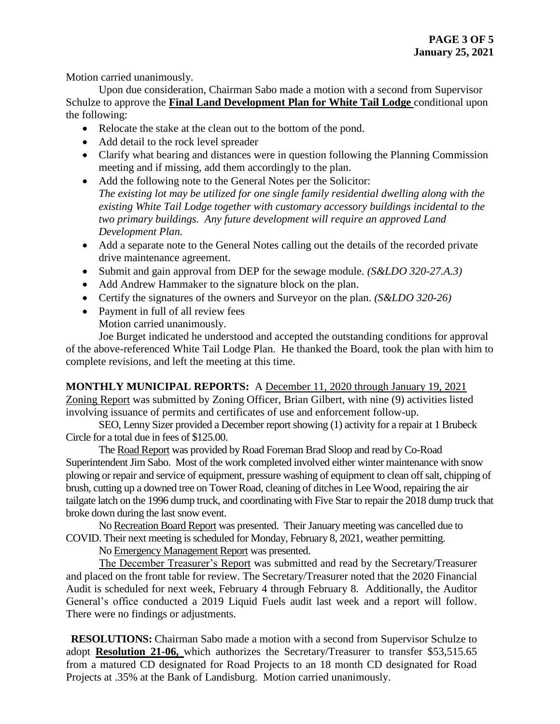Motion carried unanimously.

Upon due consideration, Chairman Sabo made a motion with a second from Supervisor Schulze to approve the **Final Land Development Plan for White Tail Lodge** conditional upon the following:

- Relocate the stake at the clean out to the bottom of the pond.
- Add detail to the rock level spreader
- Clarify what bearing and distances were in question following the Planning Commission meeting and if missing, add them accordingly to the plan.
- Add the following note to the General Notes per the Solicitor: *The existing lot may be utilized for one single family residential dwelling along with the existing White Tail Lodge together with customary accessory buildings incidental to the two primary buildings. Any future development will require an approved Land Development Plan.*
- Add a separate note to the General Notes calling out the details of the recorded private drive maintenance agreement.
- Submit and gain approval from DEP for the sewage module. *(S&LDO 320-27.A.3)*
- Add Andrew Hammaker to the signature block on the plan.
- Certify the signatures of the owners and Surveyor on the plan. *(S&LDO 320-26)*
- Payment in full of all review fees Motion carried unanimously.

Joe Burget indicated he understood and accepted the outstanding conditions for approval of the above-referenced White Tail Lodge Plan. He thanked the Board, took the plan with him to complete revisions, and left the meeting at this time.

**MONTHLY MUNICIPAL REPORTS:** A December 11, 2020 through January 19, 2021 Zoning Report was submitted by Zoning Officer, Brian Gilbert, with nine (9) activities listed involving issuance of permits and certificates of use and enforcement follow-up.

SEO, Lenny Sizer provided a December report showing (1) activity for a repair at 1 Brubeck Circle for a total due in fees of \$125.00.

The Road Report was provided by Road Foreman Brad Sloop and read by Co-Road Superintendent Jim Sabo. Most of the work completed involved either winter maintenance with snow plowing or repair and service of equipment, pressure washing of equipment to clean off salt, chipping of brush, cutting up a downed tree on Tower Road, cleaning of ditches in Lee Wood, repairing the air tailgate latch on the 1996 dump truck, and coordinating with Five Star to repair the 2018 dump truck that broke down during the last snow event.

No Recreation Board Report was presented. Their January meeting was cancelled due to COVID. Their next meeting is scheduled for Monday, February 8, 2021, weather permitting.

No Emergency Management Report was presented.

The December Treasurer's Report was submitted and read by the Secretary/Treasurer and placed on the front table for review. The Secretary/Treasurer noted that the 2020 Financial Audit is scheduled for next week, February 4 through February 8. Additionally, the Auditor General's office conducted a 2019 Liquid Fuels audit last week and a report will follow. There were no findings or adjustments.

 **RESOLUTIONS:** Chairman Sabo made a motion with a second from Supervisor Schulze to adopt **Resolution 21-06,** which authorizes the Secretary/Treasurer to transfer \$53,515.65 from a matured CD designated for Road Projects to an 18 month CD designated for Road Projects at .35% at the Bank of Landisburg. Motion carried unanimously.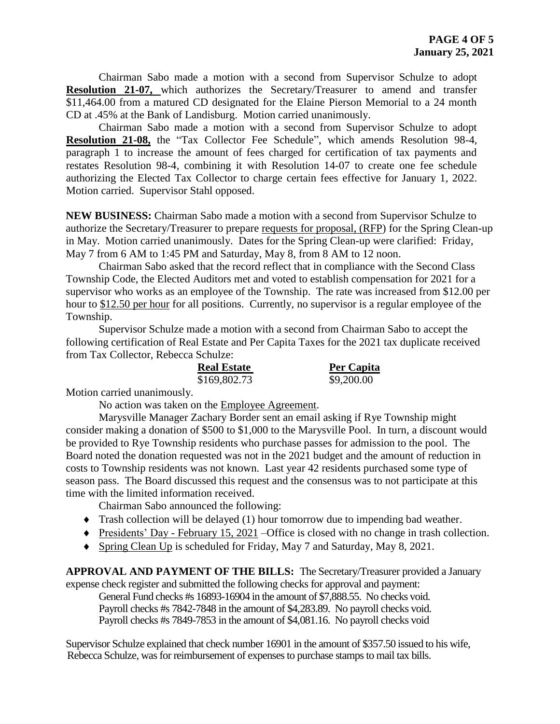Chairman Sabo made a motion with a second from Supervisor Schulze to adopt **Resolution 21-07,** which authorizes the Secretary/Treasurer to amend and transfer \$11,464.00 from a matured CD designated for the Elaine Pierson Memorial to a 24 month CD at .45% at the Bank of Landisburg. Motion carried unanimously.

Chairman Sabo made a motion with a second from Supervisor Schulze to adopt **Resolution 21-08,** the "Tax Collector Fee Schedule", which amends Resolution 98-4, paragraph 1 to increase the amount of fees charged for certification of tax payments and restates Resolution 98-4, combining it with Resolution 14-07 to create one fee schedule authorizing the Elected Tax Collector to charge certain fees effective for January 1, 2022. Motion carried. Supervisor Stahl opposed.

**NEW BUSINESS:** Chairman Sabo made a motion with a second from Supervisor Schulze to authorize the Secretary/Treasurer to prepare requests for proposal, (RFP) for the Spring Clean-up in May. Motion carried unanimously. Dates for the Spring Clean-up were clarified: Friday, May 7 from 6 AM to 1:45 PM and Saturday, May 8, from 8 AM to 12 noon.

Chairman Sabo asked that the record reflect that in compliance with the Second Class Township Code, the Elected Auditors met and voted to establish compensation for 2021 for a supervisor who works as an employee of the Township. The rate was increased from \$12.00 per hour to \$12.50 per hour for all positions. Currently, no supervisor is a regular employee of the Township.

Supervisor Schulze made a motion with a second from Chairman Sabo to accept the following certification of Real Estate and Per Capita Taxes for the 2021 tax duplicate received from Tax Collector, Rebecca Schulze:

| <b>Real Estate</b> | Per Capita |
|--------------------|------------|
| \$169,802.73       | \$9,200.00 |

Motion carried unanimously.

No action was taken on the Employee Agreement.

Marysville Manager Zachary Border sent an email asking if Rye Township might consider making a donation of \$500 to \$1,000 to the Marysville Pool. In turn, a discount would be provided to Rye Township residents who purchase passes for admission to the pool. The Board noted the donation requested was not in the 2021 budget and the amount of reduction in costs to Township residents was not known. Last year 42 residents purchased some type of season pass. The Board discussed this request and the consensus was to not participate at this time with the limited information received.

Chairman Sabo announced the following:

- Trash collection will be delayed (1) hour tomorrow due to impending bad weather.
- Presidents' Day February 15, 2021 –Office is closed with no change in trash collection.
- Spring Clean Up is scheduled for Friday, May 7 and Saturday, May 8, 2021.

**APPROVAL AND PAYMENT OF THE BILLS:** The Secretary/Treasurer provided a January expense check register and submitted the following checks for approval and payment:

General Fund checks #s 16893-16904 in the amount of \$7,888.55. No checks void. Payroll checks #s 7842-7848 in the amount of \$4,283.89. No payroll checks void. Payroll checks #s 7849-7853 in the amount of \$4,081.16. No payroll checks void

Supervisor Schulze explained that check number 16901 in the amount of \$357.50 issued to his wife, Rebecca Schulze, was for reimbursement of expenses to purchase stamps to mail tax bills.